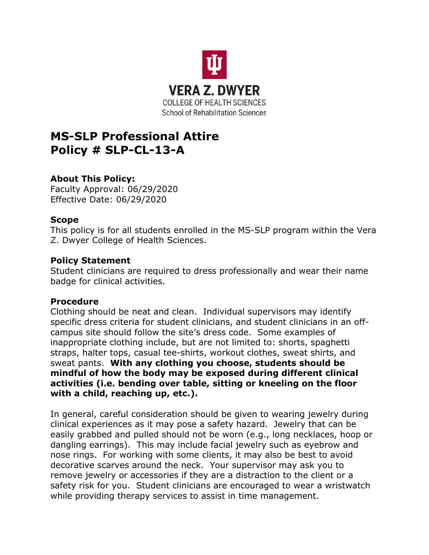

# **MS-SLP Professional Attire Policy # SLP-CL-13-A**

## **About This Policy:**

Faculty Approval: 06/29/2020 Effective Date: 06/29/2020

### **Scope**

This policy is for all students enrolled in the MS-SLP program within the Vera Z. Dwyer College of Health Sciences.

### **Policy Statement**

Student clinicians are required to dress professionally and wear their name badge for clinical activities.

#### **Procedure**

Clothing should be neat and clean. Individual supervisors may identify specific dress criteria for student clinicians, and student clinicians in an offcampus site should follow the site's dress code. Some examples of inappropriate clothing include, but are not limited to: shorts, spaghetti straps, halter tops, casual tee-shirts, workout clothes, sweat shirts, and sweat pants. **With any clothing you choose, students should be mindful of how the body may be exposed during different clinical activities (i.e. bending over table, sitting or kneeling on the floor with a child, reaching up, etc.).**

In general, careful consideration should be given to wearing jewelry during clinical experiences as it may pose a safety hazard. Jewelry that can be easily grabbed and pulled should not be worn (e.g., long necklaces, hoop or dangling earrings). This may include facial jewelry such as eyebrow and nose rings. For working with some clients, it may also be best to avoid decorative scarves around the neck. Your supervisor may ask you to remove jewelry or accessories if they are a distraction to the client or a safety risk for you. Student clinicians are encouraged to wear a wristwatch while providing therapy services to assist in time management.